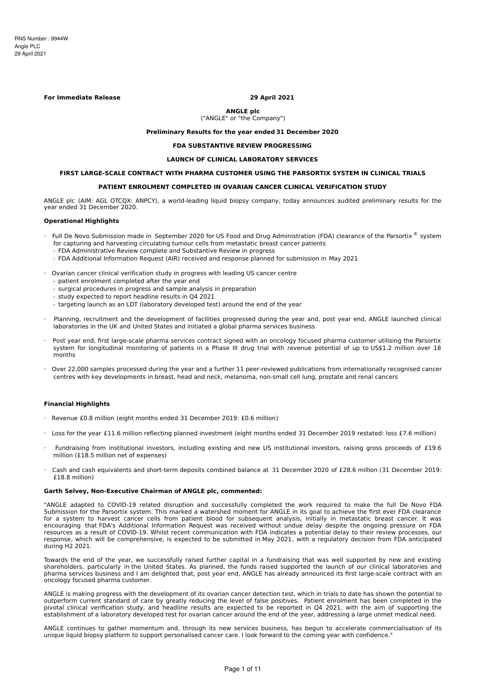**For Immediate Release 29 April 2021**

**ANGLE plc** ("ANGLE" or "the Company")

### **Preliminary Results for the year ended 31 December 2020**

### **FDA SUBSTANTIVE REVIEW PROGRESSING**

# **LAUNCH OF CLINICAL LABORATORY SERVICES**

# **FIRST LARGE-SCALE CONTRACT WITH PHARMA CUSTOMER USING THE PARSORTIX SYSTEM IN CLINICAL TRIALS**

# **PATIENT ENROLMENT COMPLETED IN OVARIAN CANCER CLINICAL VERIFICATION STUDY**

ANGLE plc (AIM: AGL OTCQX: ANPCY), a world-leading liquid biopsy company, today announces audited preliminary results for the year ended 31 December 2020.

### **Operational Highlights**

- Full De Novo Submission made in September 2020 for US Food and Drug Administration (FDA) clearance of the Parsortix ® system for capturing and harvesting circulating tumour cells from metastatic breast cancer patients
	- FDA Administrative Review complete and Substantive Review in progress
	- FDA Additional Information Request (AIR) received and response planned for submission in May 2021
- · Ovarian cancer clinical verification study in progress with leading US cancer centre
	- patient enrolment completed after the year end
	- surgical procedures in progress and sample analysis in preparation
	- study expected to report headline results in Q4 2021
	- targeting launch as an LDT (laboratory developed test) around the end of the year
- · Planning, recruitment and the development of facilities progressed during the year and, post year end, ANGLE launched clinical laboratories in the UK and United States and initiated a global pharma services business
- Post year end, first large-scale pharma services contract signed with an oncology focused pharma customer utilising the Parsortix system for longitudinal monitoring of patients in a Phase III drug trial with revenue potential of up to US\$1.2 million over 18 months
- · Over 22,000 samples processed during the year and a further 11 peer-reviewed publications from internationally recognised cancer centres with key developments in breast, head and neck, melanoma, non-small cell lung, prostate and renal cancers

### **Financial Highlights**

- · Revenue £0.8 million (eight months ended 31 December 2019: £0.6 million)
- · Loss for the year £11.6 million reflecting planned investment (eight months ended 31 December 2019 restated: loss £7.6 million)
- · Fundraising from institutional investors, including existing and new US institutional investors, raising gross proceeds of £19.6 million (£18.5 million net of expenses)
- · Cash and cash equivalents and short-term deposits combined balance at 31 December 2020 of £28.6 million (31 December 2019: £18.8 million)

### **Garth Selvey, Non-Executive Chairman of ANGLE plc, commented:**

"ANGLE adapted to COVID-19 related disruption and successfully completed the work required to make the full De Novo FDA Submission for the Parsortix system. This marked a watershed moment for ANGLE in its goal to achieve the first ever FDA clearance for a system to harvest cancer cells from patient blood for subsequent analysis, initially in metastatic breast cancer. It was encouraging that FDA's Additional Information Request was received without undue delay despite the ongoing pressure on FDA resources as a result of COVID-19. Whilst recent communication with FDA indicates a potential delay to their review processes, our response, which will be comprehensive, is expected to be submitted in May 2021, with a regulatory decision from FDA anticipated during H2 2021.

Towards the end of the year, we successfully raised further capital in a fundraising that was well supported by new and existing shareholders, particularly in the United States. As planned, the funds raised supported the launch of our clinical laboratories and pharma services business and I am delighted that, post year end, ANGLE has already announced its first large-scale contract with an oncology focused pharma customer.

ANGLE is making progress with the development of its ovarian cancer detection test, which in trials to date has shown the potential to outperform current standard of care by greatly reducing the level of false positives. Patient enrolment has been completed in the pivotal clinical verification study, and headline results are expected to be reported in Q4 2021, with the aim of supporting the establishment of a laboratory developed test for ovarian cancer around the end of the year, addressing a large unmet medical need.

ANGLE continues to gather momentum and, through its new services business, has begun to accelerate commercialisation of its unique liquid biopsy platform to support personalised cancer care. I look forward to the coming year with confidence."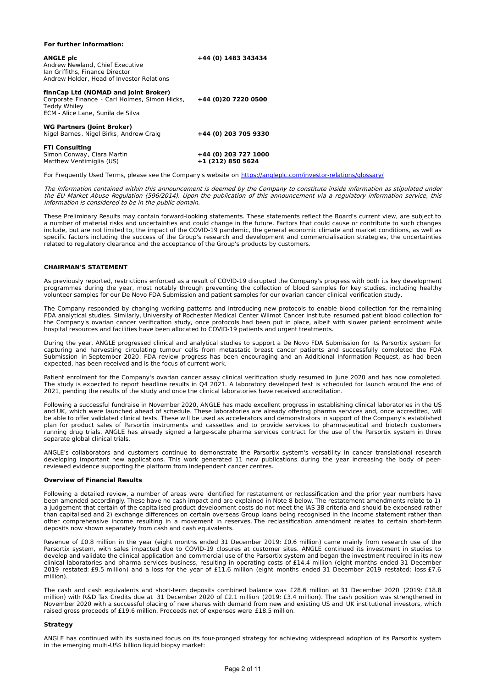# **For further information:**

Matthew Ventimiglia (US)

| +44 (0) 1483 343434 |
|---------------------|
|                     |
|                     |
|                     |
|                     |

# **finnCap Ltd (NOMAD and Joint Broker)**

| Corporate Finance - Carl Holmes, Simon Hicks,<br>Teddy Whiley<br>ECM - Alice Lane, Sunila de Silva | +44 (0)20 7220 0500  |
|----------------------------------------------------------------------------------------------------|----------------------|
| <b>WG Partners (Joint Broker)</b><br>Nigel Barnes, Nigel Birks, Andrew Craig                       | +44 (0) 203 705 9330 |
| <b>FTI Consulting</b><br>Simon Conway, Ciara Martin                                                | +44 (0) 203 727 1000 |

For Frequently Used Terms, please see the Company's website on <https://angleplc.com/investor-relations/glossary/>

**+1 (212) 850 5624**

The information contained within this announcement is deemed by the Company to constitute inside information as stipulated under the EU Market Abuse Regulation (596/2014). Upon the publication of this announcement via <sup>a</sup> regulatory information service, this information is considered to be in the public domain.

These Preliminary Results may contain forward-looking statements. These statements reflect the Board's current view, are subject to a number of material risks and uncertainties and could change in the future. Factors that could cause or contribute to such changes include, but are not limited to, the impact of the COVID-19 pandemic, the general economic climate and market conditions, as well as specific factors including the success of the Group's research and development and commercialisation strategies, the uncertainties related to regulatory clearance and the acceptance of the Group's products by customers.

# **CHAIRMAN'S STATEMENT**

As previously reported, restrictions enforced as a result of COVID-19 disrupted the Company's progress with both its key development programmes during the year, most notably through preventing the collection of blood samples for key studies, including healthy volunteer samples for our De Novo FDA Submission and patient samples for our ovarian cancer clinical verification study.

The Company responded by changing working patterns and introducing new protocols to enable blood collection for the remaining FDA analytical studies. Similarly, University of Rochester Medical Center Wilmot Cancer Institute resumed patient blood collection for the Company's ovarian cancer verification study, once protocols had been put in place, albeit with slower patient enrolment while hospital resources and facilities have been allocated to COVID-19 patients and urgent treatments.

During the year, ANGLE progressed clinical and analytical studies to support a De Novo FDA Submission for its Parsortix system for capturing and harvesting circulating tumour cells from metastatic breast cancer patients and successfully completed the FDA Submission in September 2020. FDA review progress has been encouraging and an Additional Information Request, as had been expected, has been received and is the focus of current work.

Patient enrolment for the Company's ovarian cancer assay clinical verification study resumed in June 2020 and has now completed. The study is expected to report headline results in Q4 2021. A laboratory developed test is scheduled for launch around the end of 2021, pending the results of the study and once the clinical laboratories have received accreditation.

Following a successful fundraise in November 2020, ANGLE has made excellent progress in establishing clinical laboratories in the US and UK, which were launched ahead of schedule. These laboratories are already offering pharma services and, once accredited, will be able to offer validated clinical tests. These will be used as accelerators and demonstrators in support of the Company's established plan for product sales of Parsortix instruments and cassettes and to provide services to pharmaceutical and biotech customers running drug trials. ANGLE has already signed a large-scale pharma services contract for the use of the Parsortix system in three separate global clinical trials.

ANGLE's collaborators and customers continue to demonstrate the Parsortix system's versatility in cancer translational research developing important new applications. This work generated 11 new publications during the year increasing the body of peerreviewed evidence supporting the platform from independent cancer centres.

# **Overview of Financial Results**

Following a detailed review, a number of areas were identified for restatement or reclassification and the prior year numbers have been amended accordingly. These have no cash impact and are explained in Note 8 below. The restatement amendments relate to 1) a judgement that certain of the capitalised product development costs do not meet the IAS 38 criteria and should be expensed rather than capitalised and 2) exchange differences on certain overseas Group loans being recognised in the income statement rather than other comprehensive income resulting in a movement in reserves. The reclassification amendment relates to certain short-term deposits now shown separately from cash and cash equivalents.

Revenue of £0.8 million in the year (eight months ended 31 December 2019: £0.6 million) came mainly from research use of the Parsortix system, with sales impacted due to COVID-19 closures at customer sites. ANGLE continued its investment in studies to develop and validate the clinical application and commercial use of the Parsortix system and began the investment required in its new clinical laboratories and pharma services business, resulting in operating costs of £14.4 million (eight months ended 31 December 2019 restated: £9.5 million) and a loss for the year of £11.6 million (eight months ended 31 December 2019 restated: loss £7.6 million).

The cash and cash equivalents and short-term deposits combined balance was £28.6 million at 31 December 2020 (2019: £18.8 million) with R&D Tax Credits due at 31 December 2020 of £2.1 million (2019: £3.4 million). The cash position was strengthened in November 2020 with a successful placing of new shares with demand from new and existing US and UK institutional investors, which raised gross proceeds of £19.6 million. Proceeds net of expenses were £18.5 million.

### **Strategy**

ANGLE has continued with its sustained focus on its four-pronged strategy for achieving widespread adoption of its Parsortix system in the emerging multi-US\$ billion liquid biopsy market: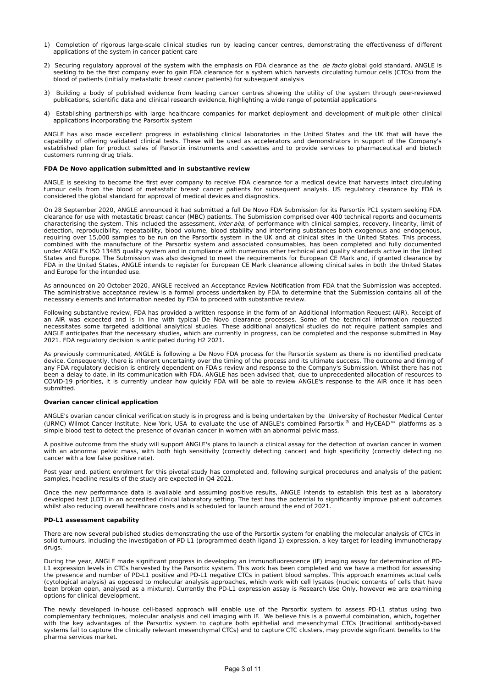- 1) Completion of rigorous large-scale clinical studies run by leading cancer centres, demonstrating the effectiveness of different applications of the system in cancer patient care
- 2) Securing regulatory approval of the system with the emphasis on FDA clearance as the de facto global gold standard. ANGLE is seeking to be the first company ever to gain FDA clearance for a system which harvests circulating tumour cells (CTCs) from the blood of patients (initially metastatic breast cancer patients) for subsequent analysis
- 3) Building a body of published evidence from leading cancer centres showing the utility of the system through peer-reviewed publications, scientific data and clinical research evidence, highlighting a wide range of potential applications
- 4) Establishing partnerships with large healthcare companies for market deployment and development of multiple other clinical applications incorporating the Parsortix system

ANGLE has also made excellent progress in establishing clinical laboratories in the United States and the UK that will have the capability of offering validated clinical tests. These will be used as accelerators and demonstrators in support of the Company's established plan for product sales of Parsortix instruments and cassettes and to provide services to pharmaceutical and biotech customers running drug trials.

# **FDA De Novo application submitted and in substantive review**

ANGLE is seeking to become the first ever company to receive FDA clearance for a medical device that harvests intact circulating tumour cells from the blood of metastatic breast cancer patients for subsequent analysis. US regulatory clearance by FDA is considered the global standard for approval of medical devices and diagnostics.

On 28 September 2020, ANGLE announced it had submitted a full De Novo FDA Submission for its Parsortix PC1 system seeking FDA clearance for use with metastatic breast cancer (MBC) patients. The Submission comprised over 400 technical reports and documents characterising the system. This included the assessment, inter alia, of performance with clinical samples, recovery, linearity, limit of detection, reproducibility, repeatability, blood volume, blood stability and interfering substances both exogenous and endogenous, requiring over 15,000 samples to be run on the Parsortix system in the UK and at clinical sites in the United States. This process, combined with the manufacture of the Parsortix system and associated consumables, has been completed and fully documented under ANGLE's ISO 13485 quality system and in compliance with numerous other technical and quality standards active in the United States and Europe. The Submission was also designed to meet the requirements for European CE Mark and, if granted clearance by FDA in the United States, ANGLE intends to register for European CE Mark clearance allowing clinical sales in both the United States and Europe for the intended use.

As announced on 20 October 2020, ANGLE received an Acceptance Review Notification from FDA that the Submission was accepted. The administrative acceptance review is a formal process undertaken by FDA to determine that the Submission contains all of the necessary elements and information needed by FDA to proceed with substantive review.

Following substantive review, FDA has provided a written response in the form of an Additional Information Request (AIR). Receipt of an AIR was expected and is in line with typical De Novo clearance processes. Some of the technical information requested necessitates some targeted additional analytical studies. These additional analytical studies do not require patient samples and ANGLE anticipates that the necessary studies, which are currently in progress, can be completed and the response submitted in May 2021. FDA regulatory decision is anticipated during H2 2021.

As previously communicated, ANGLE is following a De Novo FDA process for the Parsortix system as there is no identified predicate device. Consequently, there is inherent uncertainty over the timing of the process and its ultimate success. The outcome and timing of any FDA regulatory decision is entirely dependent on FDA's review and response to the Company's Submission. Whilst there has not been a delay to date, in its communication with FDA, ANGLE has been advised that, due to unprecedented allocation of resources to COVID-19 priorities, it is currently unclear how quickly FDA will be able to review ANGLE's response to the AIR once it has been submitted.

### **Ovarian cancer clinical application**

ANGLE's ovarian cancer clinical verification study is in progress and is being undertaken by the University of Rochester Medical Center (URMC) Wilmot Cancer Institute, New York, USA to evaluate the use of ANGLE's combined Parsortix ® and HyCEAD™ platforms as a simple blood test to detect the presence of ovarian cancer in women with an abnormal pelvic mass.

A positive outcome from the study will support ANGLE's plans to launch a clinical assay for the detection of ovarian cancer in women with an abnormal pelvic mass, with both high sensitivity (correctly detecting cancer) and high specificity (correctly detecting no cancer with a low false positive rate).

Post year end, patient enrolment for this pivotal study has completed and, following surgical procedures and analysis of the patient samples, headline results of the study are expected in Q4 2021.

Once the new performance data is available and assuming positive results, ANGLE intends to establish this test as a laboratory developed test (LDT) in an accredited clinical laboratory setting. The test has the potential to significantly improve patient outcomes whilst also reducing overall healthcare costs and is scheduled for launch around the end of 2021.

# **PD-L1 assessment capability**

There are now several published studies demonstrating the use of the Parsortix system for enabling the molecular analysis of CTCs in solid tumours, including the investigation of PD-L1 (programmed death-ligand 1) expression, a key target for leading immunotherapy drugs.

During the year, ANGLE made significant progress in developing an immunofluorescence (IF) imaging assay for determination of PD-L1 expression levels in CTCs harvested by the Parsortix system. This work has been completed and we have a method for assessing the presence and number of PD-L1 positive and PD-L1 negative CTCs in patient blood samples. This approach examines actual cells (cytological analysis) as opposed to molecular analysis approaches, which work with cell lysates (nucleic contents of cells that have been broken open, analysed as a mixture). Currently the PD-L1 expression assay is Research Use Only, however we are examining options for clinical development.

The newly developed in-house cell-based approach will enable use of the Parsortix system to assess PD-L1 status using two complementary techniques, molecular analysis and cell imaging with IF. We believe this is a powerful combination, which, together with the key advantages of the Parsortix system to capture both epithelial and mesenchymal CTCs (traditional antibody-based systems fail to capture the clinically relevant mesenchymal CTCs) and to capture CTC clusters, may provide significant benefits to the pharma services market.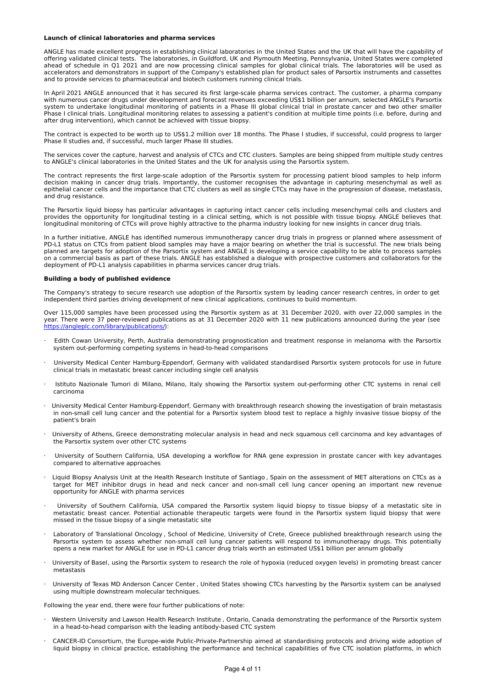### **Launch of clinical laboratories and pharma services**

ANGLE has made excellent progress in establishing clinical laboratories in the United States and the UK that will have the capability of offering validated clinical tests. The laboratories, in Guildford, UK and Plymouth Meeting, Pennsylvania, United States were completed ahead of schedule in Q1 2021 and are now processing clinical samples for global clinical trials. The laboratories will be used as accelerators and demonstrators in support of the Company's established plan for product sales of Parsortix instruments and cassettes and to provide services to pharmaceutical and biotech customers running clinical trials.

In April 2021 ANGLE announced that it has secured its first large-scale pharma services contract. The customer, a pharma company with numerous cancer drugs under development and forecast revenues exceeding US\$1 billion per annum, selected ANGLE's Parsortix system to undertake longitudinal monitoring of patients in a Phase III global clinical trial in prostate cancer and two other smaller Phase I clinical trials. Longitudinal monitoring relates to assessing a patient's condition at multiple time points (i.e. before, during and after drug intervention), which cannot be achieved with tissue biopsy.

The contract is expected to be worth up to US\$1.2 million over 18 months. The Phase I studies, if successful, could progress to larger Phase II studies and, if successful, much larger Phase III studies.

The services cover the capture, harvest and analysis of CTCs and CTC clusters. Samples are being shipped from multiple study centres to ANGLE's clinical laboratories in the United States and the UK for analysis using the Parsortix system.

The contract represents the first large-scale adoption of the Parsortix system for processing patient blood samples to help inform decision making in cancer drug trials. Importantly, the customer recognises the advantage in capturing mesenchymal as well as epithelial cancer cells and the importance that CTC clusters as well as single CTCs may have in the progression of disease, metastasis, and drug resistance.

The Parsortix liquid biopsy has particular advantages in capturing intact cancer cells including mesenchymal cells and clusters and provides the opportunity for longitudinal testing in a clinical setting, which is not possible with tissue biopsy. ANGLE believes that longitudinal monitoring of CTCs will prove highly attractive to the pharma industry looking for new insights in cancer drug trials.

In a further initiative, ANGLE has identified numerous immunotherapy cancer drug trials in progress or planned where assessment of PD-L1 status on CTCs from patient blood samples may have a major bearing on whether the trial is successful. The new trials being planned are targets for adoption of the Parsortix system and ANGLE is developing a service capability to be able to process samples on a commercial basis as part of these trials. ANGLE has established a dialogue with prospective customers and collaborators for the deployment of PD-L1 analysis capabilities in pharma services cancer drug trials.

### **Building a body of published evidence**

The Company's strategy to secure research use adoption of the Parsortix system by leading cancer research centres, in order to get independent third parties driving development of new clinical applications, continues to build momentum.

Over 115,000 samples have been processed using the Parsortix system as at 31 December 2020, with over 22,000 samples in the year. There were 37 peer-reviewed publications as at 31 December 2020 with 11 new publications announced during the year (see <https://angleplc.com/library/publications/>):

- Edith Cowan University, Perth, Australia demonstrating prognostication and treatment response in melanoma with the Parsortix system out-performing competing systems in head-to-head comparisons
- · University Medical Center Hamburg-Eppendorf, Germany with validated standardised Parsortix system protocols for use in future clinical trials in metastatic breast cancer including single cell analysis
- Istituto Nazionale Tumori di Milano, Milano, Italy showing the Parsortix system out-performing other CTC systems in renal cell carcinoma
- · University Medical Center Hamburg-Eppendorf, Germany with breakthrough research showing the investigation of brain metastasis in non-small cell lung cancer and the potential for a Parsortix system blood test to replace a highly invasive tissue biopsy of the patient's brain
- · University of Athens, Greece demonstrating molecular analysis in head and neck squamous cell carcinoma and key advantages of the Parsortix system over other CTC systems
- · University of Southern California, USA developing a workflow for RNA gene expression in prostate cancer with key advantages compared to alternative approaches
- Liquid Biopsy Analysis Unit at the Health Research Institute of Santiago, Spain on the assessment of MET alterations on CTCs as a target for MET inhibitor drugs in head and neck cancer and non-small cell lung cancer opening an important new revenue opportunity for ANGLE with pharma services
- · University of Southern California, USA compared the Parsortix system liquid biopsy to tissue biopsy of a metastatic site in metastatic breast cancer. Potential actionable therapeutic targets were found in the Parsortix system liquid biopsy that were missed in the tissue biopsy of a single metastatic site
- Laboratory of Translational Oncology, School of Medicine, University of Crete, Greece published breakthrough research using the Parsortix system to assess whether non-small cell lung cancer patients will respond to immunotherapy drugs. This potentially opens a new market for ANGLE for use in PD-L1 cancer drug trials worth an estimated US\$1 billion per annum globally
- · University of Basel, using the Parsortix system to research the role of hypoxia (reduced oxygen levels) in promoting breast cancer metastasis
- · University of Texas MD Anderson Cancer Center , United States showing CTCs harvesting by the Parsortix system can be analysed using multiple downstream molecular techniques.

Following the year end, there were four further publications of note:

- · Western University and Lawson Health Research Institute , Ontario, Canada demonstrating the performance of the Parsortix system in a head-to-head comparison with the leading antibody-based CTC system
- · CANCER-ID Consortium, the Europe-wide Public-Private-Partnership aimed at standardising protocols and driving wide adoption of liquid biopsy in clinical practice, establishing the performance and technical capabilities of five CTC isolation platforms, in which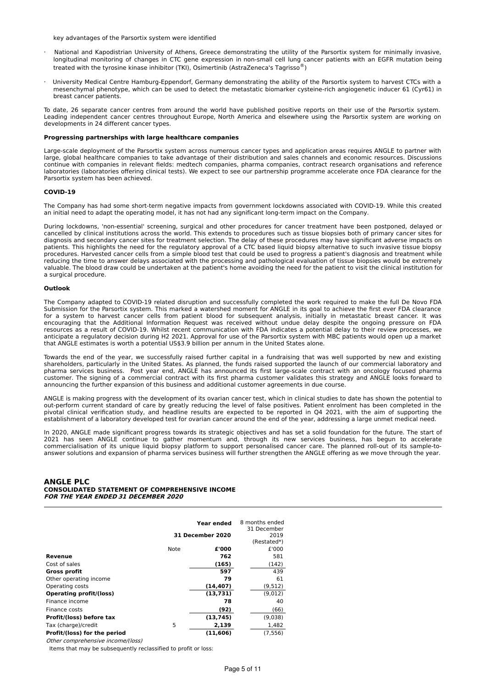key advantages of the Parsortix system were identified

- National and Kapodistrian University of Athens, Greece demonstrating the utility of the Parsortix system for minimally invasive, longitudinal monitoring of changes in CTC gene expression in non-small cell lung cancer patients with an EGFR mutation being treated with the tyrosine kinase inhibitor (TKI), Osimertinib (AstraZeneca's Tagrisso®)
- · University Medical Centre Hamburg-Eppendorf, Germany demonstrating the ability of the Parsortix system to harvest CTCs with a mesenchymal phenotype, which can be used to detect the metastatic biomarker cysteine-rich angiogenetic inducer 61 (Cyr61) in breast cancer patients.

To date, 26 separate cancer centres from around the world have published positive reports on their use of the Parsortix system. Leading independent cancer centres throughout Europe, North America and elsewhere using the Parsortix system are working on developments in 24 different cancer types.

# **Progressing partnerships with large healthcare companies**

Large-scale deployment of the Parsortix system across numerous cancer types and application areas requires ANGLE to partner with large, global healthcare companies to take advantage of their distribution and sales channels and economic resources. Discussions continue with companies in relevant fields: medtech companies, pharma companies, contract research organisations and reference laboratories (laboratories offering clinical tests). We expect to see our partnership programme accelerate once FDA clearance for the Parsortix system has been achieved.

# **COVID-19**

The Company has had some short-term negative impacts from government lockdowns associated with COVID-19. While this created an initial need to adapt the operating model, it has not had any significant long-term impact on the Company.

During lockdowns, 'non-essential' screening, surgical and other procedures for cancer treatment have been postponed, delayed or cancelled by clinical institutions across the world. This extends to procedures such as tissue biopsies both of primary cancer sites for diagnosis and secondary cancer sites for treatment selection. The delay of these procedures may have significant adverse impacts on patients. This highlights the need for the regulatory approval of a CTC based liquid biopsy alternative to such invasive tissue biopsy procedures. Harvested cancer cells from a simple blood test that could be used to progress a patient's diagnosis and treatment while reducing the time to answer delays associated with the processing and pathological evaluation of tissue biopsies would be extremely valuable. The blood draw could be undertaken at the patient's home avoiding the need for the patient to visit the clinical institution for a surgical procedure.

### **Outlook**

The Company adapted to COVID-19 related disruption and successfully completed the work required to make the full De Novo FDA Submission for the Parsortix system. This marked a watershed moment for ANGLE in its goal to achieve the first ever FDA clearance for a system to harvest cancer cells from patient blood for subsequent analysis, initially in metastatic breast cancer. It was encouraging that the Additional Information Request was received without undue delay despite the ongoing pressure on FDA resources as a result of COVID-19. Whilst recent communication with FDA indicates a potential delay to their review processes, we anticipate a regulatory decision during H2 2021. Approval for use of the Parsortix system with MBC patients would open up a market that ANGLE estimates is worth a potential US\$3.9 billion per annum in the United States alone.

Towards the end of the year, we successfully raised further capital in a fundraising that was well supported by new and existing shareholders, particularly in the United States. As planned, the funds raised supported the launch of our commercial laboratory and pharma services business. Post year end, ANGLE has announced its first large-scale contract with an oncology focused pharma customer. The signing of a commercial contract with its first pharma customer validates this strategy and ANGLE looks forward to announcing the further expansion of this business and additional customer agreements in due course.

ANGLE is making progress with the development of its ovarian cancer test, which in clinical studies to date has shown the potential to out-perform current standard of care by greatly reducing the level of false positives. Patient enrolment has been completed in the pivotal clinical verification study, and headline results are expected to be reported in Q4 2021, with the aim of supporting the establishment of a laboratory developed test for ovarian cancer around the end of the year, addressing a large unmet medical need.

In 2020, ANGLE made significant progress towards its strategic objectives and has set a solid foundation for the future. The start of 2021 has seen ANGLE continue to gather momentum and, through its new services business, has begun to accelerate commercialisation of its unique liquid biopsy platform to support personalised cancer care. The planned roll-out of its sample-toanswer solutions and expansion of pharma services business will further strengthen the ANGLE offering as we move through the year.

# **ANGLE PLC CONSOLIDATED STATEMENT OF COMPREHENSIVE INCOME FOR THE YEAR ENDED 31 DECEMBER 2020**

|                                |      | Year ended<br>31 December 2020 | 8 months ended<br>31 December<br>2019<br>(Restated*) |
|--------------------------------|------|--------------------------------|------------------------------------------------------|
|                                | Note | £'000                          | £'000                                                |
| Revenue                        |      | 762                            | 581                                                  |
| Cost of sales                  |      | (165)                          | (142)                                                |
| <b>Gross profit</b>            |      | 597                            | 439                                                  |
| Other operating income         |      | 79                             | 61                                                   |
| Operating costs                |      | (14, 407)                      | (9, 512)                                             |
| <b>Operating profit/(loss)</b> |      | (13, 731)                      | (9,012)                                              |
| Finance income                 |      | 78                             | 40                                                   |
| Finance costs                  |      | (92)                           | (66)                                                 |
| Profit/(loss) before tax       |      | (13, 745)                      | (9,038)                                              |
| Tax (charge)/credit            | 5    | 2,139                          | 1,482                                                |
| Profit/(loss) for the period   |      | (11, 606)                      | (7, 556)                                             |

Other comprehensive income/(loss)

Items that may be subsequently reclassified to profit or loss: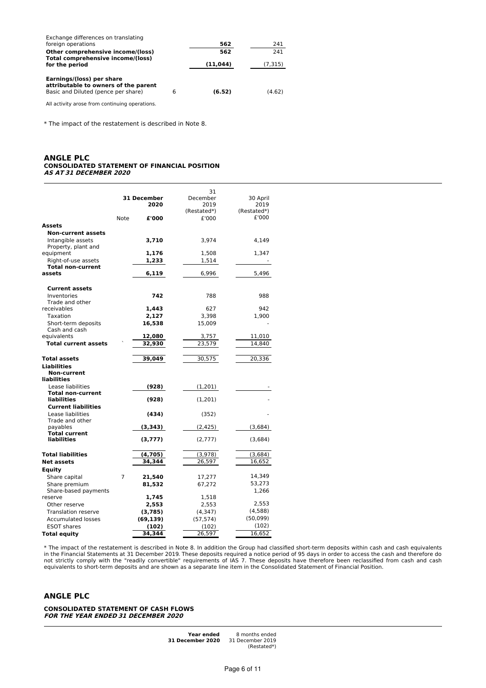| Exchange differences on translating<br>foreign operations              |   | 562       | 241      |
|------------------------------------------------------------------------|---|-----------|----------|
| Other comprehensive income/(loss)<br>Total comprehensive income/(loss) |   | 562       | 241      |
| for the period                                                         |   | (11, 044) | (7, 315) |
| Earnings/(loss) per share<br>attributable to owners of the parent      |   |           |          |
| Basic and Diluted (pence per share)                                    | 6 | (6.52)    | (4.62)   |

All activity arose from continuing operations.

\* The impact of the restatement is described in Note 8.

# **ANGLE PLC CONSOLIDATED STATEMENT OF FINANCIAL POSITION AS AT 31 DECEMBER 2020**

|                                            |      | <b>31 December</b><br>2020 | 31<br>December<br>2019<br>(Restated*) | 30 April<br>2019<br>(Restated*) |
|--------------------------------------------|------|----------------------------|---------------------------------------|---------------------------------|
|                                            | Note | £'000                      | £'000                                 | £'000                           |
| Assets                                     |      |                            |                                       |                                 |
| <b>Non-current assets</b>                  |      |                            |                                       |                                 |
| Intangible assets                          |      | 3,710                      | 3,974                                 | 4,149                           |
| Property, plant and                        |      |                            |                                       |                                 |
| equipment<br>Right-of-use assets           |      | 1,176<br>1,233             | 1,508                                 | 1,347                           |
| <b>Total non-current</b>                   |      |                            | 1,514                                 |                                 |
| assets                                     |      | 6,119                      | 6,996                                 | 5,496                           |
| <b>Current assets</b>                      |      |                            |                                       |                                 |
| Inventories                                |      | 742                        | 788                                   | 988                             |
| Trade and other                            |      |                            |                                       |                                 |
| receivables                                |      | 1,443                      | 627                                   | 942                             |
| Taxation                                   |      | 2,127                      | 3,398                                 | 1,900                           |
| Short-term deposits                        |      | 16,538                     | 15,009                                |                                 |
| Cash and cash<br>equivalents               |      | 12,080                     | 3,757                                 | 11,010                          |
| <b>Total current assets</b>                |      | 32,930                     | 23,579                                | 14,840                          |
|                                            |      |                            |                                       |                                 |
| <b>Total assets</b>                        |      | 39,049                     | 30,575                                | 20,336                          |
| <b>Liabilities</b>                         |      |                            |                                       |                                 |
| <b>Non-current</b>                         |      |                            |                                       |                                 |
| <b>liabilities</b>                         |      |                            |                                       |                                 |
| Lease liabilities                          |      | (928)                      | (1,201)                               |                                 |
| <b>Total non-current</b><br>liabilities    |      | (928)                      | (1,201)                               |                                 |
| <b>Current liabilities</b>                 |      |                            |                                       |                                 |
| Lease liabilities                          |      | (434)                      | (352)                                 |                                 |
| Trade and other                            |      |                            |                                       |                                 |
| payables                                   |      | (3,343)                    | (2,425)                               | (3,684)                         |
| <b>Total current</b><br><b>liabilities</b> |      |                            |                                       |                                 |
|                                            |      | (3,777)                    | (2, 777)                              | (3,684)                         |
| <b>Total liabilities</b>                   |      | (4,705)                    | (3,978)                               | (3,684)                         |
| <b>Net assets</b>                          |      | 34,344                     | 26,597                                | 16,652                          |
| Equity                                     |      |                            |                                       |                                 |
| Share capital                              | 7    | 21,540                     | 17,277                                | 14,349                          |
| Share premium                              |      | 81,532                     | 67,272                                | 53,273                          |
| Share-based payments                       |      |                            |                                       | 1,266                           |
| reserve                                    |      | 1,745                      | 1,518                                 |                                 |
| Other reserve                              |      | 2,553                      | 2,553                                 | 2,553                           |
| <b>Translation reserve</b>                 |      | (3,785)                    | (4, 347)                              | (4,588)                         |
| <b>Accumulated losses</b>                  |      | (69, 139)                  | (57, 574)                             | (50,099)                        |
| <b>ESOT shares</b>                         |      | (102)                      | (102)                                 | (102)                           |
| <b>Total equity</b>                        |      | 34,344                     | 26,597                                | 16,652                          |

\* The impact of the restatement is described in Note 8. In addition the Group had classified short-term deposits within cash and cash equivalents in the Financial Statements at 31 December 2019. These deposits required a notice period of 95 days in order to access the cash and therefore do<br>not strictly comply with the "readily convertible" requirements of IAS 7. The

# **ANGLE PLC**

**CONSOLIDATED STATEMENT OF CASH FLOWS FOR THE YEAR ENDED 31 DECEMBER 2020**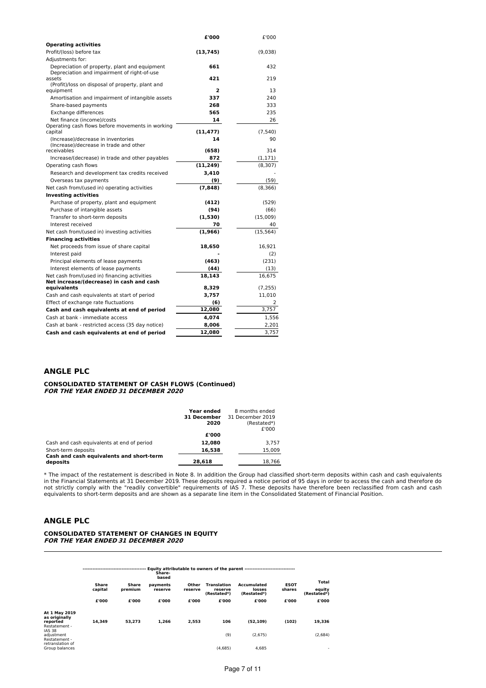|                                                                                              | £'000                   | £'000     |
|----------------------------------------------------------------------------------------------|-------------------------|-----------|
| <b>Operating activities</b>                                                                  |                         |           |
| Profit/(loss) before tax                                                                     | (13, 745)               | (9,038)   |
| Adjustments for:                                                                             |                         |           |
| Depreciation of property, plant and equipment<br>Depreciation and impairment of right-of-use | 661                     | 432       |
| assets                                                                                       | 421                     | 219       |
| (Profit)/loss on disposal of property, plant and<br>equipment                                | $\overline{\mathbf{z}}$ | 13        |
| Amortisation and impairment of intangible assets                                             | 337                     | 240       |
| Share-based payments                                                                         | 268                     | 333       |
| Exchange differences                                                                         | 565                     | 235       |
| Net finance (income)/costs                                                                   | 14                      | 26        |
| Operating cash flows before movements in working<br>capital                                  | (11, 477)               | (7, 540)  |
| (Increase)/decrease in inventories                                                           | 14                      | 90        |
| (Increase)/decrease in trade and other<br>receivables                                        | (658)                   | 314       |
| Increase/(decrease) in trade and other payables                                              | 872                     | (1, 171)  |
| Operating cash flows                                                                         | (11, 249)               | (8,307)   |
| Research and development tax credits received                                                | 3,410                   |           |
| Overseas tax payments                                                                        | (9)                     | (59)      |
| Net cash from/(used in) operating activities                                                 | (7, 848)                | (8,366)   |
| <b>Investing activities</b>                                                                  |                         |           |
| Purchase of property, plant and equipment                                                    | (412)                   | (529)     |
| Purchase of intangible assets                                                                | (94)                    | (66)      |
| Transfer to short-term deposits                                                              | (1,530)                 | (15,009)  |
| Interest received                                                                            | 70                      | 40        |
| Net cash from/(used in) investing activities                                                 | (1.966)                 | (15, 564) |
| <b>Financing activities</b>                                                                  |                         |           |
| Net proceeds from issue of share capital                                                     | 18,650                  | 16,921    |
| Interest paid                                                                                |                         | (2)       |
| Principal elements of lease payments                                                         | (463)                   | (231)     |
| Interest elements of lease payments                                                          | (44)                    | (13)      |
| Net cash from/(used in) financing activities<br>Net increase/(decrease) in cash and cash     | 18,143                  | 16,675    |
| equivalents                                                                                  | 8,329                   | (7, 255)  |
| Cash and cash equivalents at start of period                                                 | 3,757                   | 11,010    |
| Effect of exchange rate fluctuations                                                         | (6)                     | 2         |
| Cash and cash equivalents at end of period                                                   | 12,080                  | 3,757     |
| Cash at bank - immediate access                                                              | 4,074                   | 1,556     |
| Cash at bank - restricted access (35 day notice)                                             | 8,006                   | 2,201     |
| Cash and cash equivalents at end of period                                                   | 12,080                  | 3.757     |

# **ANGLE PLC**

# **CONSOLIDATED STATEMENT OF CASH FLOWS (Continued) FOR THE YEAR ENDED 31 DECEMBER 2020**

|                                                      | Year ended<br><b>31 December</b><br>2020 | 8 months ended<br>31 December 2019<br>(Restated*)<br>£'000 |
|------------------------------------------------------|------------------------------------------|------------------------------------------------------------|
|                                                      | £'000                                    |                                                            |
| Cash and cash equivalents at end of period           | 12,080                                   | 3.757                                                      |
| Short-term deposits                                  | 16,538                                   | 15,009                                                     |
| Cash and cash equivalents and short-term<br>deposits | 28.618                                   | 18.766                                                     |

\* The impact of the restatement is described in Note 8. In addition the Group had classified short-term deposits within cash and cash equivalents<br>in the Financial Statements at 31 December 2019. These deposits required a n equivalents to short-term deposits and are shown as a separate line item in the Consolidated Statement of Financial Position.

# **ANGLE PLC**

# **CONSOLIDATED STATEMENT OF CHANGES IN EQUITY FOR THE YEAR ENDED 31 DECEMBER 2020**

| Equity attributable to owners of the parent ------------------------------<br>Share-<br>based |                         |                  |                     |                  |                                              |                                             |                       |                                |
|-----------------------------------------------------------------------------------------------|-------------------------|------------------|---------------------|------------------|----------------------------------------------|---------------------------------------------|-----------------------|--------------------------------|
|                                                                                               | <b>Share</b><br>capital | Share<br>premium | payments<br>reserve | Other<br>reserve | <b>Translation</b><br>reserve<br>(Restated*) | <b>Accumulated</b><br>losses<br>(Restated*) | <b>ESOT</b><br>shares | Total<br>equity<br>(Restated*) |
|                                                                                               | £'000                   | £'000            | £'000               | £'000            | £'000                                        | £'000                                       | £'000                 | £'000                          |
| At 1 May 2019<br>as originally<br>reported<br>Restatement -                                   | 14.349                  | 53.273           | 1.266               | 2,553            | 106                                          | (52.109)                                    | (102)                 | 19,336                         |
| <b>IAS 38</b><br>adjustment<br>Restatement -                                                  |                         |                  |                     |                  | (9)                                          | (2,675)                                     |                       | (2,684)                        |
| retranslation of<br>Group balances                                                            |                         |                  |                     |                  | (4.685)                                      | 4.685                                       |                       | $\overline{\phantom{a}}$       |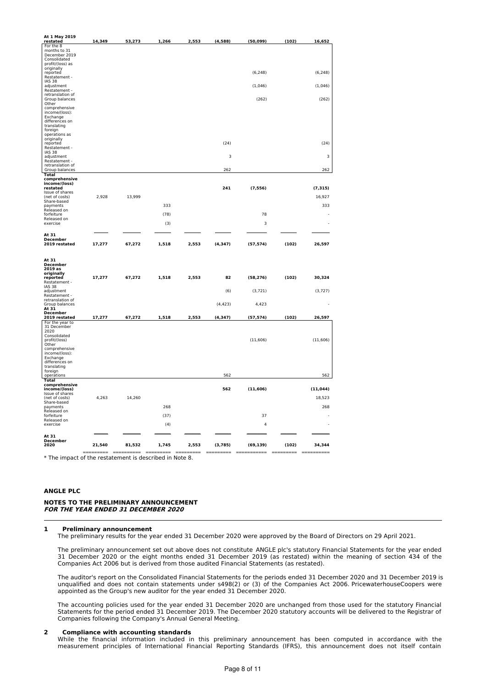| At 1 May 2019<br>restated          | 14,349 | 53,273 | 1,266 | 2,553 | (4,588)  | (50, 099)               | (102) | 16,652    |
|------------------------------------|--------|--------|-------|-------|----------|-------------------------|-------|-----------|
| For the 8                          |        |        |       |       |          |                         |       |           |
| months to 31<br>December 2019      |        |        |       |       |          |                         |       |           |
| Consolidated                       |        |        |       |       |          |                         |       |           |
| profit/(loss) as<br>originally     |        |        |       |       |          |                         |       |           |
| reported                           |        |        |       |       |          | (6, 248)                |       | (6, 248)  |
| Restatement -<br><b>IAS 38</b>     |        |        |       |       |          |                         |       |           |
| adjustment                         |        |        |       |       |          | (1,046)                 |       | (1,046)   |
| Restatement -                      |        |        |       |       |          |                         |       |           |
| retranslation of<br>Group balances |        |        |       |       |          | (262)                   |       | (262)     |
| Other                              |        |        |       |       |          |                         |       |           |
| comprehensive<br>income/(loss):    |        |        |       |       |          |                         |       |           |
| Exchange                           |        |        |       |       |          |                         |       |           |
| differences on<br>translating      |        |        |       |       |          |                         |       |           |
| foreign                            |        |        |       |       |          |                         |       |           |
| operations as<br>originally        |        |        |       |       |          |                         |       |           |
| reported                           |        |        |       |       | (24)     |                         |       | (24)      |
| Restatement -<br>IAS 38            |        |        |       |       |          |                         |       |           |
| adjustment                         |        |        |       |       | 3        |                         |       | 3         |
| Restatement -<br>retranslation of  |        |        |       |       |          |                         |       |           |
| Group balances                     |        |        |       |       | 262      |                         |       | 262       |
| Total<br>comprehensive             |        |        |       |       |          |                         |       |           |
| income/(loss)                      |        |        |       |       |          |                         |       |           |
| restated                           |        |        |       |       | 241      | (7, 556)                |       | (7, 315)  |
| Issue of shares<br>(net of costs)  | 2,928  | 13,999 |       |       |          |                         |       | 16,927    |
| Share-based                        |        |        | 333   |       |          |                         |       |           |
| payments<br>Released on            |        |        |       |       |          |                         |       | 333       |
| forfeiture<br>Released on          |        |        | (78)  |       |          | 78                      |       |           |
| exercise                           |        |        | (3)   |       |          | 3                       |       |           |
|                                    |        |        |       |       |          |                         |       |           |
| At 31                              |        |        |       |       |          |                         |       |           |
| <b>December</b><br>2019 restated   | 17,277 | 67,272 | 1,518 | 2,553 | (4, 347) | (57, 574)               | (102) | 26,597    |
|                                    |        |        |       |       |          |                         |       |           |
|                                    |        |        |       |       |          |                         |       |           |
| At 31<br><b>December</b>           |        |        |       |       |          |                         |       |           |
| 2019 as                            |        |        |       |       |          |                         |       |           |
| originally<br>reported             | 17,277 | 67,272 | 1,518 | 2,553 | 82       | (58, 276)               | (102) | 30,324    |
| Restatement -                      |        |        |       |       |          |                         |       |           |
| IAS 38<br>adjustment               |        |        |       |       | (6)      | (3, 721)                |       | (3, 727)  |
| Restatement -                      |        |        |       |       |          |                         |       |           |
| retranslation of<br>Group balances |        |        |       |       | (4, 423) | 4,423                   |       |           |
| At 31                              |        |        |       |       |          |                         |       |           |
| December<br>2019 restated          | 17,277 | 67,272 | 1,518 | 2,553 | (4, 347) | (57, 574)               | (102) | 26,597    |
| For the year to                    |        |        |       |       |          |                         |       |           |
| 31 December                        |        |        |       |       |          |                         |       |           |
| 2020<br>Consolidated               |        |        |       |       |          |                         |       |           |
| profit/(loss)                      |        |        |       |       |          | (11, 606)               |       | (11, 606) |
| Other<br>comprehensive             |        |        |       |       |          |                         |       |           |
| income/(loss):                     |        |        |       |       |          |                         |       |           |
| Exchange<br>differences on         |        |        |       |       |          |                         |       |           |
| translating                        |        |        |       |       |          |                         |       |           |
| foreign<br>operations              |        |        |       |       | 562      |                         |       | 562       |
| Total                              |        |        |       |       |          |                         |       |           |
| comprehensive<br>income/(loss)     |        |        |       |       | 562      | (11, 606)               |       | (11, 044) |
| Issue of shares                    |        |        |       |       |          |                         |       |           |
| (net of costs)<br>Share-based      | 4,263  | 14,260 |       |       |          |                         |       | 18,523    |
| payments                           |        |        | 268   |       |          |                         |       | 268       |
| Released on<br>forfeiture          |        |        | (37)  |       |          | 37                      |       |           |
| Released on                        |        |        |       |       |          |                         |       |           |
| exercise                           |        |        | (4)   |       |          | $\overline{\mathbf{4}}$ |       |           |
|                                    |        |        |       |       |          |                         |       |           |
| At 31<br>December                  |        |        |       |       |          |                         |       |           |
| 2020                               | 21,540 | 81,532 | 1,745 | 2,553 | (3,785)  | (69, 139)               | (102) | 34,344    |
|                                    |        |        |       |       |          |                         |       |           |

\* The impact of the restatement is described in Note 8.

# **ANGLE PLC**

# **NOTES TO THE PRELIMINARY ANNOUNCEMENT FOR THE YEAR ENDED 31 DECEMBER 2020**

### **1 Preliminary announcement**

The preliminary results for the year ended 31 December 2020 were approved by the Board of Directors on 29 April 2021.

The preliminary announcement set out above does not constitute ANGLE plc's statutory Financial Statements for the year ended 31 December 2020 or the eight months ended 31 December 2019 (as restated) within the meaning of section 434 of the Companies Act 2006 but is derived from those audited Financial Statements (as restated).

The auditor's report on the Consolidated Financial Statements for the periods ended 31 December 2020 and 31 December 2019 is unqualified and does not contain statements under s498(2) or (3) of the Companies Act 2006. PricewaterhouseCoopers were appointed as the Group's new auditor for the year ended 31 December 2020.

The accounting policies used for the year ended 31 December 2020 are unchanged from those used for the statutory Financial Statements for the period ended 31 December 2019. The December 2020 statutory accounts will be delivered to the Registrar of Companies following the Company's Annual General Meeting.

# **2 Compliance with accounting standards**

While the financial information included in this preliminary announcement has been computed in accordance with the measurement principles of International Financial Reporting Standards (IFRS), this announcement does not itself contain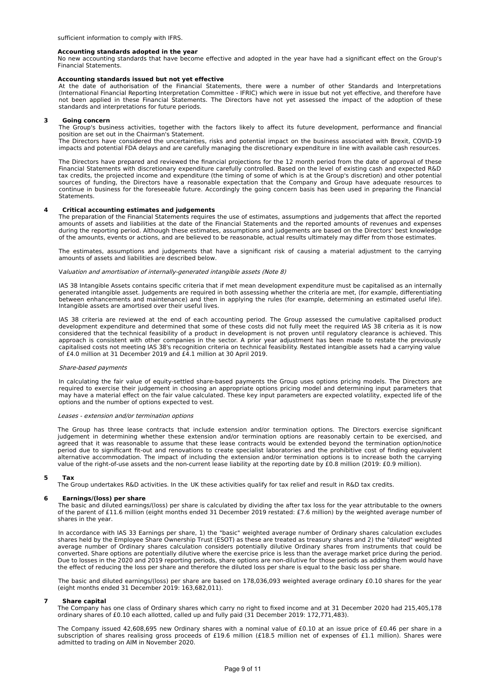### **Accounting standards adopted in the year**

No new accounting standards that have become effective and adopted in the year have had a significant effect on the Group's Financial Statements.

### **Accounting standards issued but not yet effective**

At the date of authorisation of the Financial Statements, there were a number of other Standards and Interpretations (International Financial Reporting Interpretation Committee - IFRIC) which were in issue but not yet effective, and therefore have not been applied in these Financial Statements. The Directors have not yet assessed the impact of the adoption of these standards and interpretations for future periods.

### **3 Going concern**

The Group's business activities, together with the factors likely to affect its future development, performance and financial position are set out in the Chairman's Statement.

The Directors have considered the uncertainties, risks and potential impact on the business associated with Brexit, COVID-19 impacts and potential FDA delays and are carefully managing the discretionary expenditure in line with available cash resources.

The Directors have prepared and reviewed the financial projections for the 12 month period from the date of approval of these Financial Statements with discretionary expenditure carefully controlled. Based on the level of existing cash and expected R&D tax credits, the projected income and expenditure (the timing of some of which is at the Group's discretion) and other potential sources of funding, the Directors have a reasonable expectation that the Company and Group have adequate resources to continue in business for the foreseeable future. Accordingly the going concern basis has been used in preparing the Financial Statements.

# **4 Critical accounting estimates and judgements**

The preparation of the Financial Statements requires the use of estimates, assumptions and judgements that affect the reported amounts of assets and liabilities at the date of the Financial Statements and the reported amounts of revenues and expenses during the reporting period. Although these estimates, assumptions and judgements are based on the Directors' best knowledge of the amounts, events or actions, and are believed to be reasonable, actual results ultimately may differ from those estimates.

The estimates, assumptions and judgements that have a significant risk of causing a material adjustment to the carrying amounts of assets and liabilities are described below.

### Valuation and amortisation of internally-generated intangible assets (Note 8)

IAS 38 Intangible Assets contains specific criteria that if met mean development expenditure must be capitalised as an internally generated intangible asset. Judgements are required in both assessing whether the criteria are met, (for example, differentiating between enhancements and maintenance) and then in applying the rules (for example, determining an estimated useful life). Intangible assets are amortised over their useful lives.

IAS 38 criteria are reviewed at the end of each accounting period. The Group assessed the cumulative capitalised product development expenditure and determined that some of these costs did not fully meet the required IAS 38 criteria as it is now considered that the technical feasibility of a product in development is not proven until regulatory clearance is achieved. This approach is consistent with other companies in the sector. A prior year adjustment has been made to restate the previously capitalised costs not meeting IAS 38's recognition criteria on technical feasibility. Restated intangible assets had a carrying value of £4.0 million at 31 December 2019 and £4.1 million at 30 April 2019.

### Share-based payments

In calculating the fair value of equity-settled share-based payments the Group uses options pricing models. The Directors are required to exercise their judgement in choosing an appropriate options pricing model and determining input parameters that may have a material effect on the fair value calculated. These key input parameters are expected volatility, expected life of the options and the number of options expected to vest.

### Leases - extension and/or termination options

The Group has three lease contracts that include extension and/or termination options. The Directors exercise significant judgement in determining whether these extension and/or termination options are reasonably certain to be exercised, and agreed that it was reasonable to assume that these lease contracts would be extended beyond the termination option/notice period due to significant fit-out and renovations to create specialist laboratories and the prohibitive cost of finding equivalent alternative accommodation. The impact of including the extension and/or termination options is to increase both the carrying value of the right-of-use assets and the non-current lease liability at the reporting date by £0.8 million (2019: £0.9 million).

### **5 Tax**

The Group undertakes R&D activities. In the UK these activities qualify for tax relief and result in R&D tax credits.

# **6 Earnings/(loss) per share**

The basic and diluted earnings/(loss) per share is calculated by dividing the after tax loss for the year attributable to the owners of the parent of £11.6 million (eight months ended 31 December 2019 restated: £7.6 million) by the weighted average number of shares in the year.

In accordance with IAS 33 Earnings per share, 1) the "basic" weighted average number of Ordinary shares calculation excludes shares held by the Employee Share Ownership Trust (ESOT) as these are treated as treasury shares and 2) the "diluted" weighted average number of Ordinary shares calculation considers potentially dilutive Ordinary shares from instruments that could be converted. Share options are potentially dilutive where the exercise price is less than the average market price during the period. Due to losses in the 2020 and 2019 reporting periods, share options are non-dilutive for those periods as adding them would have the effect of reducing the loss per share and therefore the diluted loss per share is equal to the basic loss per share.

The basic and diluted earnings/(loss) per share are based on 178,036,093 weighted average ordinary £0.10 shares for the year (eight months ended 31 December 2019: 163,682,011).

### **7 Share capital**

The Company has one class of Ordinary shares which carry no right to fixed income and at 31 December 2020 had 215,405,178 ordinary shares of £0.10 each allotted, called up and fully paid (31 December 2019: 172,771,483).

The Company issued 42,608,695 new Ordinary shares with a nominal value of £0.10 at an issue price of £0.46 per share in a subscription of shares realising gross proceeds of £19.6 million (£18.5 million net of expenses of £1.1 million). Shares were admitted to trading on AIM in November 2020.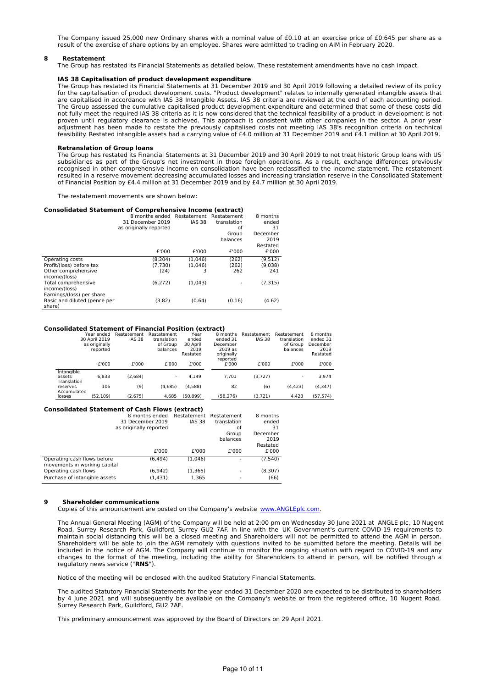The Company issued 25,000 new Ordinary shares with a nominal value of £0.10 at an exercise price of £0.645 per share as a result of the exercise of share options by an employee. Shares were admitted to trading on AIM in February 2020.

# **8 Restatement**

The Group has restated its Financial Statements as detailed below. These restatement amendments have no cash impact.

# **IAS 38 Capitalisation of product development expenditure**

The Group has restated its Financial Statements at 31 December 2019 and 30 April 2019 following a detailed review of its policy for the capitalisation of product development costs. "Product development" relates to internally generated intangible assets that are capitalised in accordance with IAS 38 Intangible Assets. IAS 38 criteria are reviewed at the end of each accounting period. The Group assessed the cumulative capitalised product development expenditure and determined that some of these costs did not fully meet the required IAS 38 criteria as it is now considered that the technical feasibility of a product in development is not proven until regulatory clearance is achieved. This approach is consistent with other companies in the sector. A prior year adjustment has been made to restate the previously capitalised costs not meeting IAS 38's recognition criteria on technical feasibility. Restated intangible assets had a carrying value of £4.0 million at 31 December 2019 and £4.1 million at 30 April 2019.

### **Retranslation of Group loans**

The Group has restated its Financial Statements at 31 December 2019 and 30 April 2019 to not treat historic Group loans with US subsidiaries as part of the Group's net investment in those foreign operations. As a result, exchange differences previously recognised in other comprehensive income on consolidation have been reclassified to the income statement. The restatement resulted in a reserve movement decreasing accumulated losses and increasing translation reserve in the Consolidated Statement of Financial Position by £4.4 million at 31 December 2019 and by £4.7 million at 30 April 2019.

The restatement movements are shown below:

### **Consolidated Statement of Comprehensive Income (extract)**

|                                                           | 8 months ended Restatement Restatement<br>31 December 2019<br>as originally reported | <b>IAS 38</b> | translation<br>οt<br>Group<br>balances | 8 months<br>ended<br>31<br>December<br>2019 |
|-----------------------------------------------------------|--------------------------------------------------------------------------------------|---------------|----------------------------------------|---------------------------------------------|
|                                                           | £'000                                                                                | £'000         | £'000                                  | Restated<br>£'000                           |
| Operating costs                                           | (8, 204)                                                                             | (1.046)       | (262)                                  | (9, 512)                                    |
| Profit/(loss) before tax                                  | (7.730)                                                                              | (1.046)       | (262)                                  | (9,038)                                     |
| Other comprehensive<br>income/(loss)                      | (24)                                                                                 | 3             | 262                                    | 241                                         |
| Total comprehensive<br>income/(loss)                      | (6, 272)                                                                             | (1.043)       |                                        | (7, 315)                                    |
| Earnings/(loss) per share<br>Basic and diluted (pence per | (3.82)                                                                               | (0.64)        | (0.16)                                 | (4.62)                                      |
| share)                                                    |                                                                                      |               |                                        |                                             |

### **Consolidated Statement of Financial Position (extract)**

|                                     | Year ended<br>30 April 2019<br>as originally<br>reported<br>£'000 | Restatement<br>IAS 38<br>£'000 | Restatement<br>translation<br>of Group<br>balances<br>£'000 | Year<br>ended<br>30 April<br>2019<br>Restated<br>£'000 | 8 months<br>ended 31<br>December<br>2019 as<br>originally<br>reported<br>£'000 | Restatement<br>IAS 38<br>£'000 | Restatement<br>translation<br>of Group<br>balances<br>£'000 | 8 months<br>ended 31<br>December<br>2019<br>Restated<br>£'000 |
|-------------------------------------|-------------------------------------------------------------------|--------------------------------|-------------------------------------------------------------|--------------------------------------------------------|--------------------------------------------------------------------------------|--------------------------------|-------------------------------------------------------------|---------------------------------------------------------------|
| Intangible<br>assets<br>Translation | 6.833                                                             | (2.684)                        | ۰.                                                          | 4.149                                                  | 7.701                                                                          | (3.727)                        | ٠                                                           | 3.974                                                         |
| reserves<br>Accumulated             | 106                                                               | (9)                            | (4,685)                                                     | (4,588)                                                | 82                                                                             | (6)                            | (4.423)                                                     | (4,347)                                                       |
| losses                              | (52, 109)                                                         | (2,675)                        | 4,685                                                       | (50,099)                                               | (58,276)                                                                       | (3, 721)                       | 4,423                                                       | (57, 574)                                                     |

### **Consolidated Statement of Cash Flows (extract)**

|                                                             | 8 months ended<br>31 December 2019<br>as originally reported | Restatement Restatement<br><b>IAS 38</b> | translation<br>оf<br>Group<br>balances | 8 months<br>ended<br>31<br>December<br>2019<br>Restated |
|-------------------------------------------------------------|--------------------------------------------------------------|------------------------------------------|----------------------------------------|---------------------------------------------------------|
|                                                             | £'000                                                        | £'000                                    | £'000                                  | £'000                                                   |
| Operating cash flows before<br>movements in working capital | (6.494)                                                      | (1.046)                                  | ۰                                      | (7.540)                                                 |
| Operating cash flows                                        | (6, 942)                                                     | (1, 365)                                 | ۰                                      | (8,307)                                                 |
| Purchase of intangible assets                               | (1,431)                                                      | 1,365                                    |                                        | (66)                                                    |

### **9 Shareholder communications**

Copies of this announcement are posted on the Company's website [www.ANGLEplc.com](http://www.angleplc.com).

The Annual General Meeting (AGM) of the Company will be held at 2:00 pm on Wednesday 30 June 2021 at ANGLE plc, 10 Nugent Road, Surrey Research Park, Guildford, Surrey GU2 7AF. In line with the UK Government's current COVID-19 requirements to maintain social distancing this will be a closed meeting and Shareholders will not be permitted to attend the AGM in person. Shareholders will be able to join the AGM remotely with questions invited to be submitted before the meeting. Details will be included in the notice of AGM. The Company will continue to monitor the ongoing situation with regard to COVID-19 and any changes to the format of the meeting, including the ability for Shareholders to attend in person, will be notified through a regulatory news service ("**RNS**").

Notice of the meeting will be enclosed with the audited Statutory Financial Statements.

The audited Statutory Financial Statements for the year ended 31 December 2020 are expected to be distributed to shareholders by 4 June 2021 and will subsequently be available on the Company's website or from the registered office, 10 Nugent Road, Surrey Research Park, Guildford, GU2 7AF.

This preliminary announcement was approved by the Board of Directors on 29 April 2021.